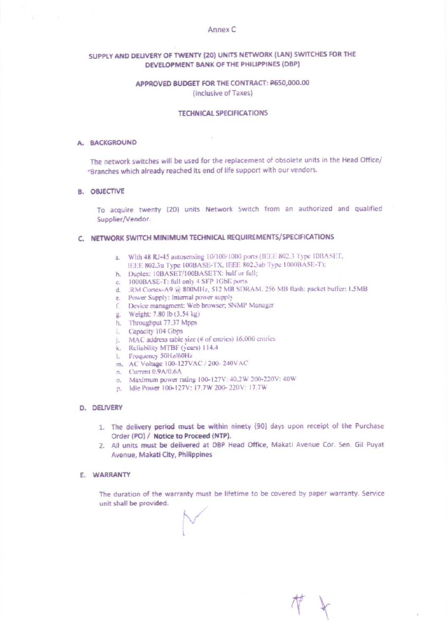### Annex C

# SUPPLY AND DELIVERY OF TWENTY (20) UNITS NETWORK (LAN) SWITCHES FOR THE DEVELOPMENT BANK OF THE PHILIPPINES (DBP)

# APPROVED BUDGET FOR THE CONTRACT: P650,000.00 (inclusive of Taxes)

### **TECHNICAL SPECIFICATIONS**

### A. BACKGROUND

 $\label{eq:2.1} \Sigma = \Sigma^{\prime} \qquad \Sigma^{\prime}$ 

The network switches will be used for the replacement of obsolete units in the Head Office/ "Branches which already reached its end of life support with our vendors.

### **B. OBJECTIVE**

To acquire twenty (20) units Network Switch from an authorized and qualified Supplier/Vendor.

# C. NETWORK SWITCH MINIMUM TECHNICAL REQUIREMENTS/SPECIFICATIONS

- a. With 48 RJ-45 autosensing 10/100/1000 ports (IEEE 802.3 Type 10BASET, IEEE 802.3u Type 100BASE-TX, IEEE 802.3ab Type 1000BASE-T);
- b. Duplex: 10BASET/100BASETX: half or full;
- c. 1000BASE-T: full only 4 SFP 1GbE ports
- d. . RM Cortex-A9 @ 800MHz, 512 MB SDRAM, 256 MB flash: packet buffer: 1.5MB
- e. Power Supply: Internal power supply
- f. Device managment: Web browser; SNMP Manager
- g. Weight: 7.80 lb (3.54 kg)
- h. Throughput 77.37 Mpps
- i. Capacity 104 Gbps
- j. MAC address table size (# of entries) 16,000 entries
- k. Reliability MTBF (years) 114.4
- 1. Frequency 50Hz/60Hz
- m. AC Voltage 100-127VAC / 200-240VAC
- n. Current 0.9A/0.6A
- o. Maximum power rating 100-127V: 40.2W 200-220V: 40W
- p. Idle Power 100-127V: 17.7W 200-220V: 17.7W

### D. DELIVERY

- 1. The delivery period must be within ninety (90) days upon receipt of the Purchase Order (PO) / Notice to Proceed (NTP).
- 2. All units must be delivered at DBP Head Office, Makati Avenue Cor. Sen. Gil Puyat Avenue, Makati City, Philippines

# E. WARRANTY

The duration of the warranty must be lifetime to be covered by paper warranty. Service unit shall be provided.